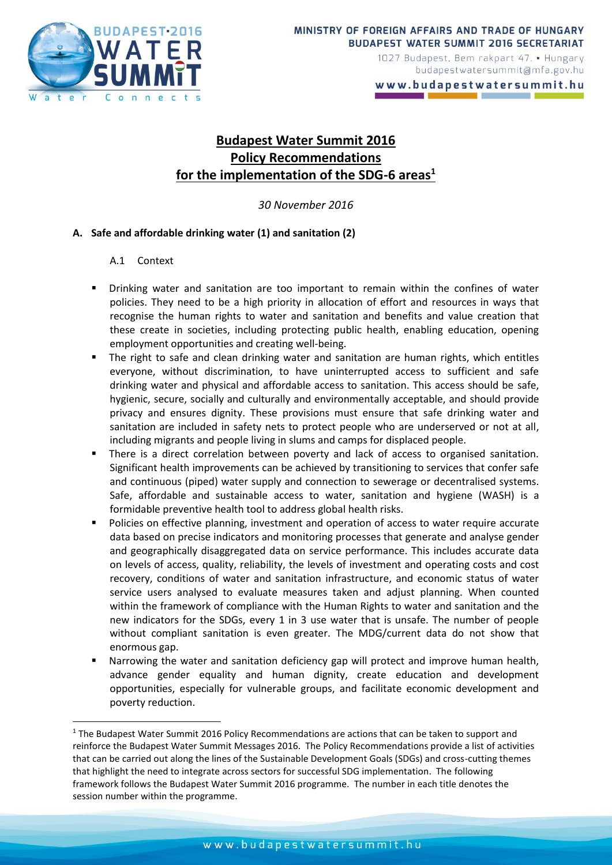

www.budapestwatersummit.hu

# **Budapest Water Summit 2016 Policy Recommendations for the implementation of the SDG-6 areas<sup>1</sup>**

*30 November 2016*

### **A. Safe and affordable drinking water (1) and sanitation (2)**

### A.1 Context

**.** 

- Drinking water and sanitation are too important to remain within the confines of water policies. They need to be a high priority in allocation of effort and resources in ways that recognise the human rights to water and sanitation and benefits and value creation that these create in societies, including protecting public health, enabling education, opening employment opportunities and creating well-being.
- The right to safe and clean drinking water and sanitation are human rights, which entitles everyone, without discrimination, to have uninterrupted access to sufficient and safe drinking water and physical and affordable access to sanitation. This access should be safe, hygienic, secure, socially and culturally and environmentally acceptable, and should provide privacy and ensures dignity. These provisions must ensure that safe drinking water and sanitation are included in safety nets to protect people who are underserved or not at all, including migrants and people living in slums and camps for displaced people.
- There is a direct correlation between poverty and lack of access to organised sanitation. Significant health improvements can be achieved by transitioning to services that confer safe and continuous (piped) water supply and connection to sewerage or decentralised systems. Safe, affordable and sustainable access to water, sanitation and hygiene (WASH) is a formidable preventive health tool to address global health risks.
- Policies on effective planning, investment and operation of access to water require accurate data based on precise indicators and monitoring processes that generate and analyse gender and geographically disaggregated data on service performance. This includes accurate data on levels of access, quality, reliability, the levels of investment and operating costs and cost recovery, conditions of water and sanitation infrastructure, and economic status of water service users analysed to evaluate measures taken and adjust planning. When counted within the framework of compliance with the Human Rights to water and sanitation and the new indicators for the SDGs, every 1 in 3 use water that is unsafe. The number of people without compliant sanitation is even greater. The MDG/current data do not show that enormous gap.
- Narrowing the water and sanitation deficiency gap will protect and improve human health, advance gender equality and human dignity, create education and development opportunities, especially for vulnerable groups, and facilitate economic development and poverty reduction.

<sup>&</sup>lt;sup>1</sup> The Budapest Water Summit 2016 Policy Recommendations are actions that can be taken to support and reinforce the Budapest Water Summit Messages 2016. The Policy Recommendations provide a list of activities that can be carried out along the lines of the Sustainable Development Goals (SDGs) and cross-cutting themes that highlight the need to integrate across sectors for successful SDG implementation. The following framework follows the Budapest Water Summit 2016 programme. The number in each title denotes the session number within the programme.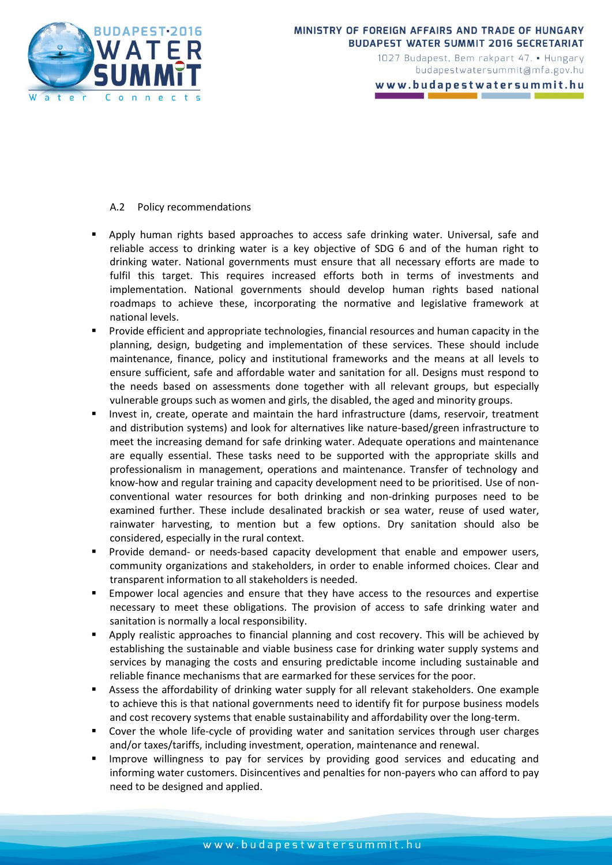

#### MINISTRY OF FOREIGN AFFAIRS AND TRADE OF HUNGARY **BUDAPEST WATER SUMMIT 2016 SECRETARIAT**

1027 Budapest, Bem rakpart 47. • Hungary budapestwatersummit@mfa.gov.hu

www.budapestwatersummit.hu

#### A.2 Policy recommendations

- Apply human rights based approaches to access safe drinking water. Universal, safe and reliable access to drinking water is a key objective of SDG 6 and of the human right to drinking water. National governments must ensure that all necessary efforts are made to fulfil this target. This requires increased efforts both in terms of investments and implementation. National governments should develop human rights based national roadmaps to achieve these, incorporating the normative and legislative framework at national levels.
- Provide efficient and appropriate technologies, financial resources and human capacity in the planning, design, budgeting and implementation of these services. These should include maintenance, finance, policy and institutional frameworks and the means at all levels to ensure sufficient, safe and affordable water and sanitation for all. Designs must respond to the needs based on assessments done together with all relevant groups, but especially vulnerable groups such as women and girls, the disabled, the aged and minority groups.
- Invest in, create, operate and maintain the hard infrastructure (dams, reservoir, treatment and distribution systems) and look for alternatives like nature-based/green infrastructure to meet the increasing demand for safe drinking water. Adequate operations and maintenance are equally essential. These tasks need to be supported with the appropriate skills and professionalism in management, operations and maintenance. Transfer of technology and know-how and regular training and capacity development need to be prioritised. Use of nonconventional water resources for both drinking and non-drinking purposes need to be examined further. These include desalinated brackish or sea water, reuse of used water, rainwater harvesting, to mention but a few options. Dry sanitation should also be considered, especially in the rural context.
- Provide demand- or needs-based capacity development that enable and empower users, community organizations and stakeholders, in order to enable informed choices. Clear and transparent information to all stakeholders is needed.
- Empower local agencies and ensure that they have access to the resources and expertise necessary to meet these obligations. The provision of access to safe drinking water and sanitation is normally a local responsibility.
- Apply realistic approaches to financial planning and cost recovery. This will be achieved by establishing the sustainable and viable business case for drinking water supply systems and services by managing the costs and ensuring predictable income including sustainable and reliable finance mechanisms that are earmarked for these services for the poor.
- Assess the affordability of drinking water supply for all relevant stakeholders. One example to achieve this is that national governments need to identify fit for purpose business models and cost recovery systems that enable sustainability and affordability over the long-term.
- Cover the whole life-cycle of providing water and sanitation services through user charges and/or taxes/tariffs, including investment, operation, maintenance and renewal.
- Improve willingness to pay for services by providing good services and educating and informing water customers. Disincentives and penalties for non-payers who can afford to pay need to be designed and applied.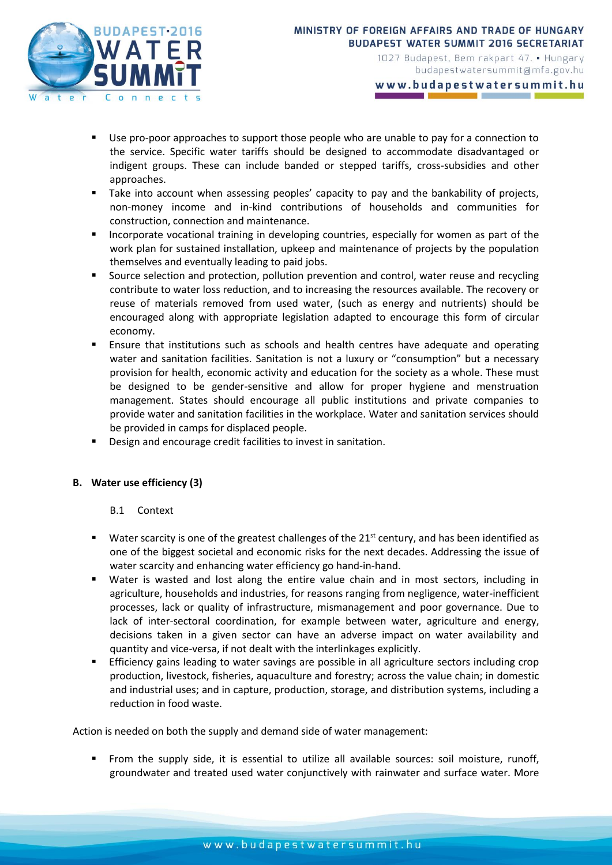

www.budapestwatersummit.hu

- Use pro-poor approaches to support those people who are unable to pay for a connection to the service. Specific water tariffs should be designed to accommodate disadvantaged or indigent groups. These can include banded or stepped tariffs, cross-subsidies and other approaches.
- Take into account when assessing peoples' capacity to pay and the bankability of projects, non-money income and in-kind contributions of households and communities for construction, connection and maintenance.
- Incorporate vocational training in developing countries, especially for women as part of the work plan for sustained installation, upkeep and maintenance of projects by the population themselves and eventually leading to paid jobs.
- Source selection and protection, pollution prevention and control, water reuse and recycling contribute to water loss reduction, and to increasing the resources available. The recovery or reuse of materials removed from used water, (such as energy and nutrients) should be encouraged along with appropriate legislation adapted to encourage this form of circular economy.
- Ensure that institutions such as schools and health centres have adequate and operating water and sanitation facilities. Sanitation is not a luxury or "consumption" but a necessary provision for health, economic activity and education for the society as a whole. These must be designed to be gender-sensitive and allow for proper hygiene and menstruation management. States should encourage all public institutions and private companies to provide water and sanitation facilities in the workplace. Water and sanitation services should be provided in camps for displaced people.
- Design and encourage credit facilities to invest in sanitation.

### **B. Water use efficiency (3)**

### B.1 Context

- Water scarcity is one of the greatest challenges of the  $21<sup>st</sup>$  century, and has been identified as one of the biggest societal and economic risks for the next decades. Addressing the issue of water scarcity and enhancing water efficiency go hand-in-hand.
- Water is wasted and lost along the entire value chain and in most sectors, including in agriculture, households and industries, for reasons ranging from negligence, water-inefficient processes, lack or quality of infrastructure, mismanagement and poor governance. Due to lack of inter-sectoral coordination, for example between water, agriculture and energy, decisions taken in a given sector can have an adverse impact on water availability and quantity and vice-versa, if not dealt with the interlinkages explicitly.
- Efficiency gains leading to water savings are possible in all agriculture sectors including crop production, livestock, fisheries, aquaculture and forestry; across the value chain; in domestic and industrial uses; and in capture, production, storage, and distribution systems, including a reduction in food waste.

Action is needed on both the supply and demand side of water management:

 From the supply side, it is essential to utilize all available sources: soil moisture, runoff, groundwater and treated used water conjunctively with rainwater and surface water. More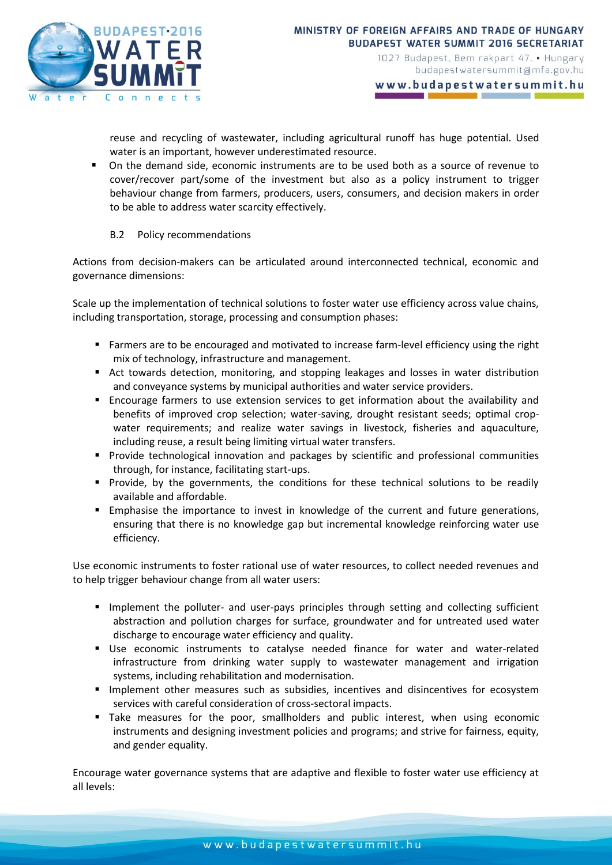

www.budapestwatersummit.hu

reuse and recycling of wastewater, including agricultural runoff has huge potential. Used water is an important, however underestimated resource.

 On the demand side, economic instruments are to be used both as a source of revenue to cover/recover part/some of the investment but also as a policy instrument to trigger behaviour change from farmers, producers, users, consumers, and decision makers in order to be able to address water scarcity effectively.

### B.2 Policy recommendations

Actions from decision-makers can be articulated around interconnected technical, economic and governance dimensions:

Scale up the implementation of technical solutions to foster water use efficiency across value chains, including transportation, storage, processing and consumption phases:

- Farmers are to be encouraged and motivated to increase farm-level efficiency using the right mix of technology, infrastructure and management.
- Act towards detection, monitoring, and stopping leakages and losses in water distribution and conveyance systems by municipal authorities and water service providers.
- Encourage farmers to use extension services to get information about the availability and benefits of improved crop selection; water-saving, drought resistant seeds; optimal cropwater requirements; and realize water savings in livestock, fisheries and aquaculture, including reuse, a result being limiting virtual water transfers.
- **Provide technological innovation and packages by scientific and professional communities** through, for instance, facilitating start-ups.
- **Provide, by the governments, the conditions for these technical solutions to be readily** available and affordable.
- **Emphasise the importance to invest in knowledge of the current and future generations,** ensuring that there is no knowledge gap but incremental knowledge reinforcing water use efficiency.

Use economic instruments to foster rational use of water resources, to collect needed revenues and to help trigger behaviour change from all water users:

- **Implement the polluter- and user-pays principles through setting and collecting sufficient** abstraction and pollution charges for surface, groundwater and for untreated used water discharge to encourage water efficiency and quality.
- Use economic instruments to catalyse needed finance for water and water-related infrastructure from drinking water supply to wastewater management and irrigation systems, including rehabilitation and modernisation.
- **Implement other measures such as subsidies, incentives and disincentives for ecosystem** services with careful consideration of cross-sectoral impacts.
- Take measures for the poor, smallholders and public interest, when using economic instruments and designing investment policies and programs; and strive for fairness, equity, and gender equality.

Encourage water governance systems that are adaptive and flexible to foster water use efficiency at all levels: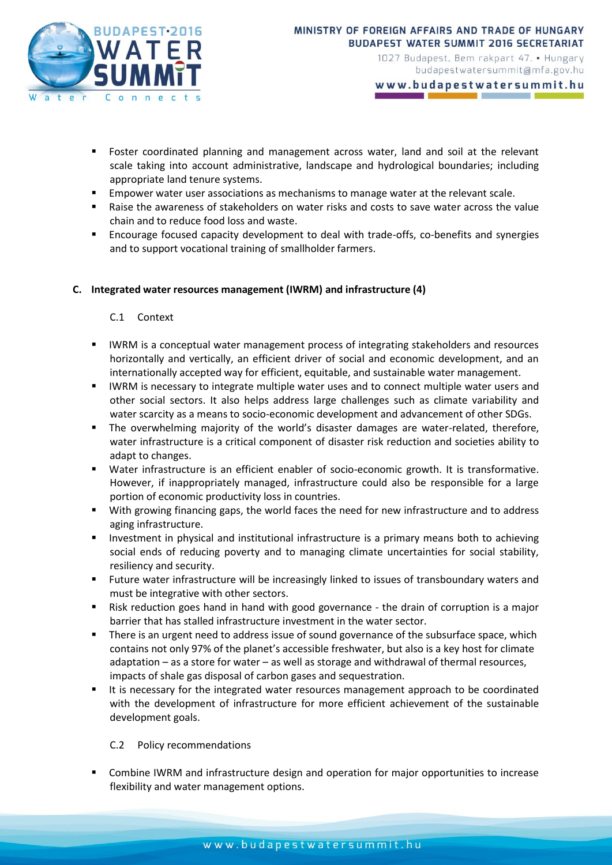

www.budapestwatersummit.hu

- Foster coordinated planning and management across water, land and soil at the relevant scale taking into account administrative, landscape and hydrological boundaries; including appropriate land tenure systems.
- Empower water user associations as mechanisms to manage water at the relevant scale.
- Raise the awareness of stakeholders on water risks and costs to save water across the value chain and to reduce food loss and waste.
- Encourage focused capacity development to deal with trade-offs, co-benefits and synergies and to support vocational training of smallholder farmers.

### **C. Integrated water resources management (IWRM) and infrastructure (4)**

### C.1 Context

- IWRM is a conceptual water management process of integrating stakeholders and resources horizontally and vertically, an efficient driver of social and economic development, and an internationally accepted way for efficient, equitable, and sustainable water management.
- **IMRM** is necessary to integrate multiple water uses and to connect multiple water users and other social sectors. It also helps address large challenges such as climate variability and water scarcity as a means to socio-economic development and advancement of other SDGs.
- The overwhelming majority of the world's disaster damages are water-related, therefore, water infrastructure is a critical component of disaster risk reduction and societies ability to adapt to changes.
- Water infrastructure is an efficient enabler of socio-economic growth. It is transformative. However, if inappropriately managed, infrastructure could also be responsible for a large portion of economic productivity loss in countries.
- With growing financing gaps, the world faces the need for new infrastructure and to address aging infrastructure.
- Investment in physical and institutional infrastructure is a primary means both to achieving social ends of reducing poverty and to managing climate uncertainties for social stability, resiliency and security.
- Future water infrastructure will be increasingly linked to issues of transboundary waters and must be integrative with other sectors.
- Risk reduction goes hand in hand with good governance the drain of corruption is a major barrier that has stalled infrastructure investment in the water sector.
- There is an urgent need to address issue of sound governance of the subsurface space, which contains not only 97% of the planet's accessible freshwater, but also is a key host for climate adaptation – as a store for water – as well as storage and withdrawal of thermal resources, impacts of shale gas disposal of carbon gases and sequestration.
- It is necessary for the integrated water resources management approach to be coordinated with the development of infrastructure for more efficient achievement of the sustainable development goals.

### C.2 Policy recommendations

 Combine IWRM and infrastructure design and operation for major opportunities to increase flexibility and water management options.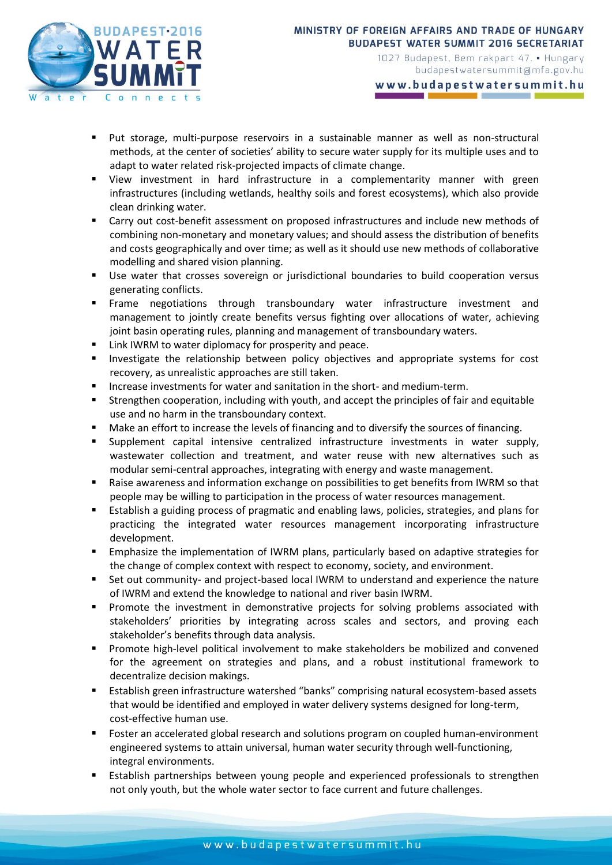

www.budapestwatersummit.hu

- Put storage, multi-purpose reservoirs in a sustainable manner as well as non-structural methods, at the center of societies' ability to secure water supply for its multiple uses and to adapt to water related risk-projected impacts of climate change.
- View investment in hard infrastructure in a complementarity manner with green infrastructures (including wetlands, healthy soils and forest ecosystems), which also provide clean drinking water.
- Carry out cost-benefit assessment on proposed infrastructures and include new methods of combining non-monetary and monetary values; and should assess the distribution of benefits and costs geographically and over time; as well as it should use new methods of collaborative modelling and shared vision planning.
- Use water that crosses sovereign or jurisdictional boundaries to build cooperation versus generating conflicts.
- Frame negotiations through transboundary water infrastructure investment and management to jointly create benefits versus fighting over allocations of water, achieving joint basin operating rules, planning and management of transboundary waters.
- **EXECT:** Link IWRM to water diplomacy for prosperity and peace.
- **Investigate the relationship between policy objectives and appropriate systems for cost** recovery, as unrealistic approaches are still taken.
- Increase investments for water and sanitation in the short- and medium-term.
- Strengthen cooperation, including with youth, and accept the principles of fair and equitable use and no harm in the transboundary context.
- Make an effort to increase the levels of financing and to diversify the sources of financing.
- Supplement capital intensive centralized infrastructure investments in water supply, wastewater collection and treatment, and water reuse with new alternatives such as modular semi-central approaches, integrating with energy and waste management.
- Raise awareness and information exchange on possibilities to get benefits from IWRM so that people may be willing to participation in the process of water resources management.
- Establish a guiding process of pragmatic and enabling laws, policies, strategies, and plans for practicing the integrated water resources management incorporating infrastructure development.
- Emphasize the implementation of IWRM plans, particularly based on adaptive strategies for the change of complex context with respect to economy, society, and environment.
- Set out community- and project-based local IWRM to understand and experience the nature of IWRM and extend the knowledge to national and river basin IWRM.
- **Promote the investment in demonstrative projects for solving problems associated with** stakeholders' priorities by integrating across scales and sectors, and proving each stakeholder's benefits through data analysis.
- Promote high-level political involvement to make stakeholders be mobilized and convened for the agreement on strategies and plans, and a robust institutional framework to decentralize decision makings.
- Establish green infrastructure watershed "banks" comprising natural ecosystem-based assets that would be identified and employed in water delivery systems designed for long-term, cost-effective human use.
- Foster an accelerated global research and solutions program on coupled human-environment engineered systems to attain universal, human water security through well-functioning, integral environments.
- Establish partnerships between young people and experienced professionals to strengthen not only youth, but the whole water sector to face current and future challenges.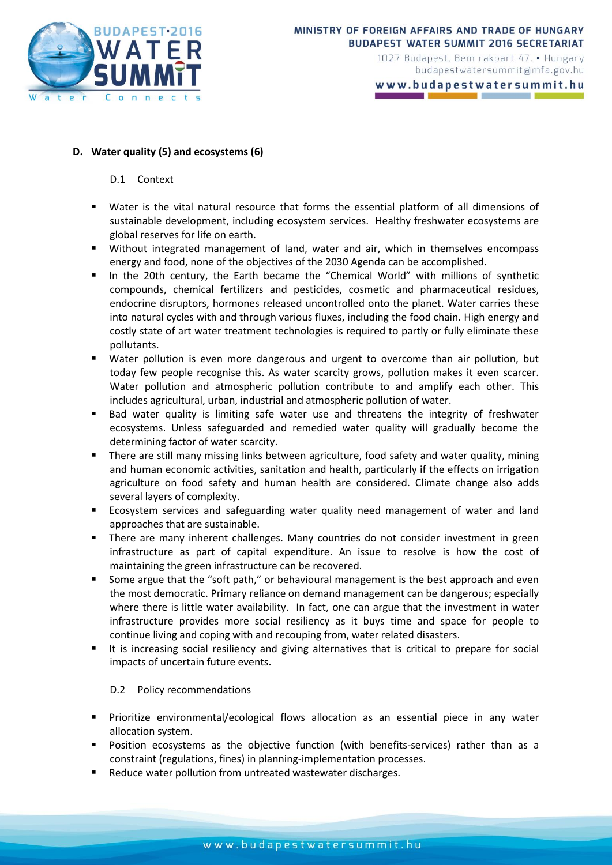

www.budapestwatersummit.hu

### **D. Water quality (5) and ecosystems (6)**

#### D.1 Context

- Water is the vital natural resource that forms the essential platform of all dimensions of sustainable development, including ecosystem services. Healthy freshwater ecosystems are global reserves for life on earth.
- Without integrated management of land, water and air, which in themselves encompass energy and food, none of the objectives of the 2030 Agenda can be accomplished.
- In the 20th century, the Earth became the "Chemical World" with millions of synthetic compounds, chemical fertilizers and pesticides, cosmetic and pharmaceutical residues, endocrine disruptors, hormones released uncontrolled onto the planet. Water carries these into natural cycles with and through various fluxes, including the food chain. High energy and costly state of art water treatment technologies is required to partly or fully eliminate these pollutants.
- Water pollution is even more dangerous and urgent to overcome than air pollution, but today few people recognise this. As water scarcity grows, pollution makes it even scarcer. Water pollution and atmospheric pollution contribute to and amplify each other. This includes agricultural, urban, industrial and atmospheric pollution of water.
- **Bad water quality is limiting safe water use and threatens the integrity of freshwater** ecosystems. Unless safeguarded and remedied water quality will gradually become the determining factor of water scarcity.
- There are still many missing links between agriculture, food safety and water quality, mining and human economic activities, sanitation and health, particularly if the effects on irrigation agriculture on food safety and human health are considered. Climate change also adds several layers of complexity.
- Ecosystem services and safeguarding water quality need management of water and land approaches that are sustainable.
- **There are many inherent challenges. Many countries do not consider investment in green** infrastructure as part of capital expenditure. An issue to resolve is how the cost of maintaining the green infrastructure can be recovered.
- Some argue that the "soft path," or behavioural management is the best approach and even the most democratic. Primary reliance on demand management can be dangerous; especially where there is little water availability. In fact, one can argue that the investment in water infrastructure provides more social resiliency as it buys time and space for people to continue living and coping with and recouping from, water related disasters.
- It is increasing social resiliency and giving alternatives that is critical to prepare for social impacts of uncertain future events.

### D.2 Policy recommendations

- Prioritize environmental/ecological flows allocation as an essential piece in any water allocation system.
- Position ecosystems as the objective function (with benefits-services) rather than as a constraint (regulations, fines) in planning-implementation processes.
- Reduce water pollution from untreated wastewater discharges.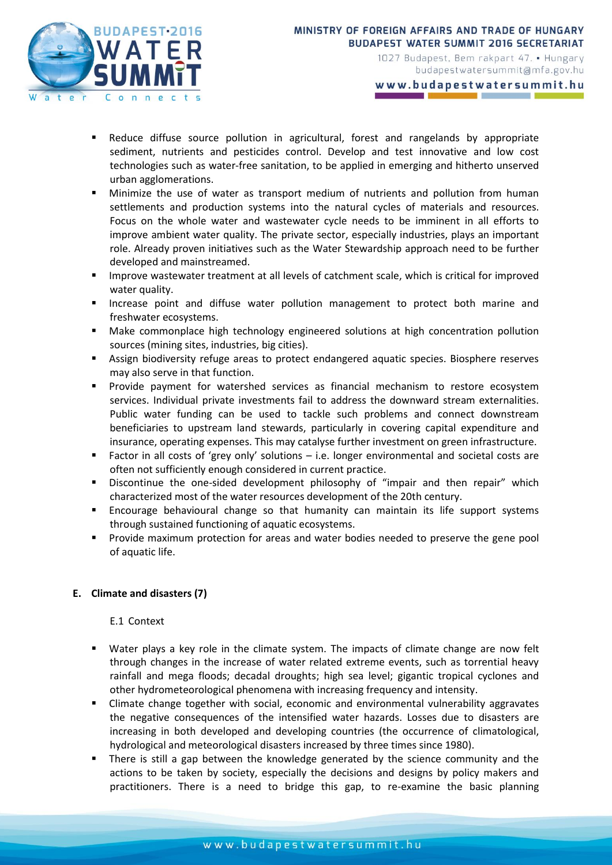

budapestwatersummit@mfa.gov.hu

www.budapestwatersummit.hu

- Reduce diffuse source pollution in agricultural, forest and rangelands by appropriate sediment, nutrients and pesticides control. Develop and test innovative and low cost technologies such as water-free sanitation, to be applied in emerging and hitherto unserved urban agglomerations.
- Minimize the use of water as transport medium of nutrients and pollution from human settlements and production systems into the natural cycles of materials and resources. Focus on the whole water and wastewater cycle needs to be imminent in all efforts to improve ambient water quality. The private sector, especially industries, plays an important role. Already proven initiatives such as the Water Stewardship approach need to be further developed and mainstreamed.
- Improve wastewater treatment at all levels of catchment scale, which is critical for improved water quality.
- **Increase point and diffuse water pollution management to protect both marine and** freshwater ecosystems.
- Make commonplace high technology engineered solutions at high concentration pollution sources (mining sites, industries, big cities).
- Assign biodiversity refuge areas to protect endangered aquatic species. Biosphere reserves may also serve in that function.
- Provide payment for watershed services as financial mechanism to restore ecosystem services. Individual private investments fail to address the downward stream externalities. Public water funding can be used to tackle such problems and connect downstream beneficiaries to upstream land stewards, particularly in covering capital expenditure and insurance, operating expenses. This may catalyse further investment on green infrastructure.
- Factor in all costs of 'grey only' solutions i.e. longer environmental and societal costs are often not sufficiently enough considered in current practice.
- Discontinue the one-sided development philosophy of "impair and then repair" which characterized most of the water resources development of the 20th century.
- Encourage behavioural change so that humanity can maintain its life support systems through sustained functioning of aquatic ecosystems.
- **Provide maximum protection for areas and water bodies needed to preserve the gene pool** of aquatic life.

## **E. Climate and disasters (7)**

### E.1 Context

- Water plays a key role in the climate system. The impacts of climate change are now felt through changes in the increase of water related extreme events, such as torrential heavy rainfall and mega floods; decadal droughts; high sea level; gigantic tropical cyclones and other hydrometeorological phenomena with increasing frequency and intensity.
- Climate change together with social, economic and environmental vulnerability aggravates the negative consequences of the intensified water hazards. Losses due to disasters are increasing in both developed and developing countries (the occurrence of climatological, hydrological and meteorological disasters increased by three times since 1980).
- There is still a gap between the knowledge generated by the science community and the actions to be taken by society, especially the decisions and designs by policy makers and practitioners. There is a need to bridge this gap, to re-examine the basic planning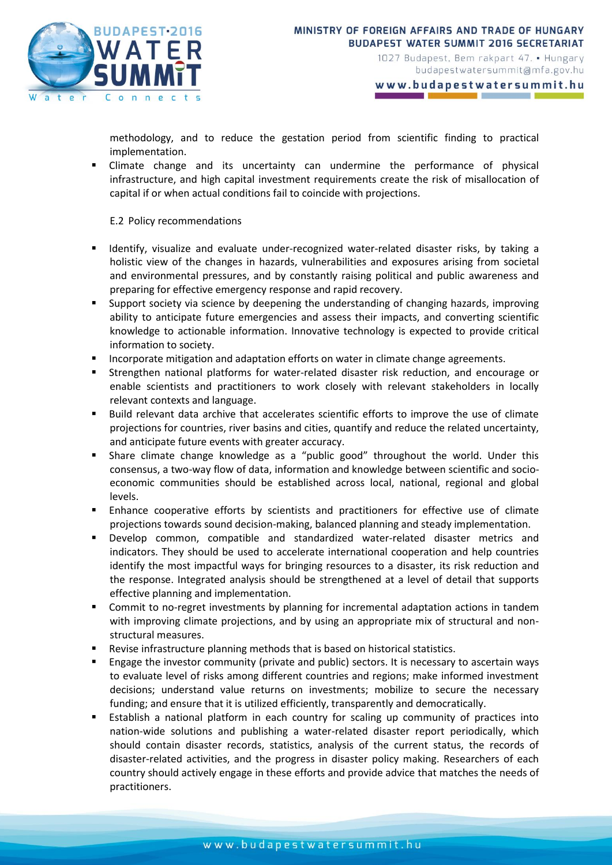

www.budapestwatersummit.hu

methodology, and to reduce the gestation period from scientific finding to practical implementation.

 Climate change and its uncertainty can undermine the performance of physical infrastructure, and high capital investment requirements create the risk of misallocation of capital if or when actual conditions fail to coincide with projections.

E.2 Policy recommendations

- Identify, visualize and evaluate under-recognized water-related disaster risks, by taking a holistic view of the changes in hazards, vulnerabilities and exposures arising from societal and environmental pressures, and by constantly raising political and public awareness and preparing for effective emergency response and rapid recovery.
- Support society via science by deepening the understanding of changing hazards, improving ability to anticipate future emergencies and assess their impacts, and converting scientific knowledge to actionable information. Innovative technology is expected to provide critical information to society.
- **Incorporate mitigation and adaptation efforts on water in climate change agreements.**
- Strengthen national platforms for water-related disaster risk reduction, and encourage or enable scientists and practitioners to work closely with relevant stakeholders in locally relevant contexts and language.
- Build relevant data archive that accelerates scientific efforts to improve the use of climate projections for countries, river basins and cities, quantify and reduce the related uncertainty, and anticipate future events with greater accuracy.
- Share climate change knowledge as a "public good" throughout the world. Under this consensus, a two-way flow of data, information and knowledge between scientific and socioeconomic communities should be established across local, national, regional and global levels.
- Enhance cooperative efforts by scientists and practitioners for effective use of climate projections towards sound decision-making, balanced planning and steady implementation.
- Develop common, compatible and standardized water-related disaster metrics and indicators. They should be used to accelerate international cooperation and help countries identify the most impactful ways for bringing resources to a disaster, its risk reduction and the response. Integrated analysis should be strengthened at a level of detail that supports effective planning and implementation.
- Commit to no-regret investments by planning for incremental adaptation actions in tandem with improving climate projections, and by using an appropriate mix of structural and nonstructural measures.
- Revise infrastructure planning methods that is based on historical statistics.
- Engage the investor community (private and public) sectors. It is necessary to ascertain ways to evaluate level of risks among different countries and regions; make informed investment decisions; understand value returns on investments; mobilize to secure the necessary funding; and ensure that it is utilized efficiently, transparently and democratically.
- Establish a national platform in each country for scaling up community of practices into nation-wide solutions and publishing a water-related disaster report periodically, which should contain disaster records, statistics, analysis of the current status, the records of disaster-related activities, and the progress in disaster policy making. Researchers of each country should actively engage in these efforts and provide advice that matches the needs of practitioners.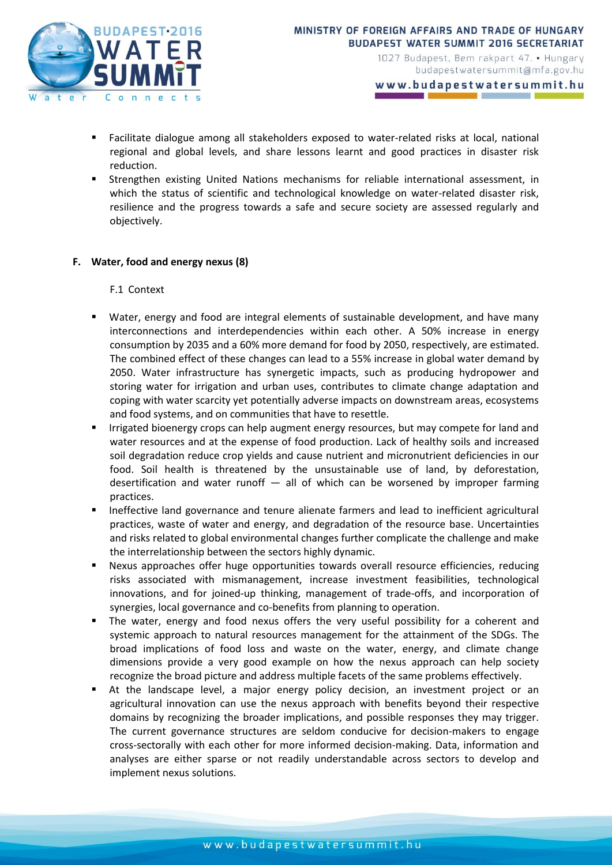

www.budapestwatersummit.hu

- Facilitate dialogue among all stakeholders exposed to water-related risks at local, national regional and global levels, and share lessons learnt and good practices in disaster risk reduction.
- Strengthen existing United Nations mechanisms for reliable international assessment, in which the status of scientific and technological knowledge on water-related disaster risk, resilience and the progress towards a safe and secure society are assessed regularly and objectively.

### **F. Water, food and energy nexus (8)**

F.1 Context

- Water, energy and food are integral elements of sustainable development, and have many interconnections and interdependencies within each other. A 50% increase in energy consumption by 2035 and a 60% more demand for food by 2050, respectively, are estimated. The combined effect of these changes can lead to a 55% increase in global water demand by 2050. Water infrastructure has synergetic impacts, such as producing hydropower and storing water for irrigation and urban uses, contributes to climate change adaptation and coping with water scarcity yet potentially adverse impacts on downstream areas, ecosystems and food systems, and on communities that have to resettle.
- Irrigated bioenergy crops can help augment energy resources, but may compete for land and water resources and at the expense of food production. Lack of healthy soils and increased soil degradation reduce crop yields and cause nutrient and micronutrient deficiencies in our food. Soil health is threatened by the unsustainable use of land, by deforestation, desertification and water runoff  $-$  all of which can be worsened by improper farming practices.
- Ineffective land governance and tenure alienate farmers and lead to inefficient agricultural practices, waste of water and energy, and degradation of the resource base. Uncertainties and risks related to global environmental changes further complicate the challenge and make the interrelationship between the sectors highly dynamic.
- Nexus approaches offer huge opportunities towards overall resource efficiencies, reducing risks associated with mismanagement, increase investment feasibilities, technological innovations, and for joined-up thinking, management of trade-offs, and incorporation of synergies, local governance and co-benefits from planning to operation.
- The water, energy and food nexus offers the very useful possibility for a coherent and systemic approach to natural resources management for the attainment of the SDGs. The broad implications of food loss and waste on the water, energy, and climate change dimensions provide a very good example on how the nexus approach can help society recognize the broad picture and address multiple facets of the same problems effectively.
- At the landscape level, a major energy policy decision, an investment project or an agricultural innovation can use the nexus approach with benefits beyond their respective domains by recognizing the broader implications, and possible responses they may trigger. The current governance structures are seldom conducive for decision-makers to engage cross-sectorally with each other for more informed decision-making. Data, information and analyses are either sparse or not readily understandable across sectors to develop and implement nexus solutions.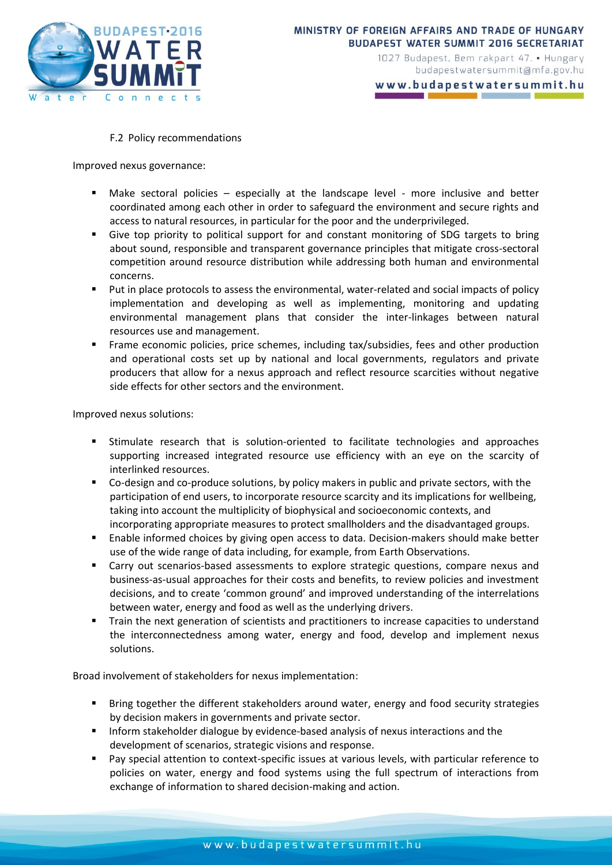

www.budapestwatersummit.hu

#### F.2 Policy recommendations

Improved nexus governance:

- Make sectoral policies especially at the landscape level more inclusive and better coordinated among each other in order to safeguard the environment and secure rights and access to natural resources, in particular for the poor and the underprivileged.
- Give top priority to political support for and constant monitoring of SDG targets to bring about sound, responsible and transparent governance principles that mitigate cross-sectoral competition around resource distribution while addressing both human and environmental concerns.
- Put in place protocols to assess the environmental, water-related and social impacts of policy implementation and developing as well as implementing, monitoring and updating environmental management plans that consider the inter-linkages between natural resources use and management.
- Frame economic policies, price schemes, including tax/subsidies, fees and other production and operational costs set up by national and local governments, regulators and private producers that allow for a nexus approach and reflect resource scarcities without negative side effects for other sectors and the environment.

Improved nexus solutions:

- Stimulate research that is solution-oriented to facilitate technologies and approaches supporting increased integrated resource use efficiency with an eye on the scarcity of interlinked resources.
- Co-design and co-produce solutions, by policy makers in public and private sectors, with the participation of end users, to incorporate resource scarcity and its implications for wellbeing, taking into account the multiplicity of biophysical and socioeconomic contexts, and incorporating appropriate measures to protect smallholders and the disadvantaged groups.
- Enable informed choices by giving open access to data. Decision-makers should make better use of the wide range of data including, for example, from Earth Observations.
- Carry out scenarios-based assessments to explore strategic questions, compare nexus and business-as-usual approaches for their costs and benefits, to review policies and investment decisions, and to create 'common ground' and improved understanding of the interrelations between water, energy and food as well as the underlying drivers.
- Train the next generation of scientists and practitioners to increase capacities to understand the interconnectedness among water, energy and food, develop and implement nexus solutions.

Broad involvement of stakeholders for nexus implementation:

- Bring together the different stakeholders around water, energy and food security strategies by decision makers in governments and private sector.
- **Inform stakeholder dialogue by evidence-based analysis of nexus interactions and the** development of scenarios, strategic visions and response.
- Pay special attention to context-specific issues at various levels, with particular reference to policies on water, energy and food systems using the full spectrum of interactions from exchange of information to shared decision-making and action.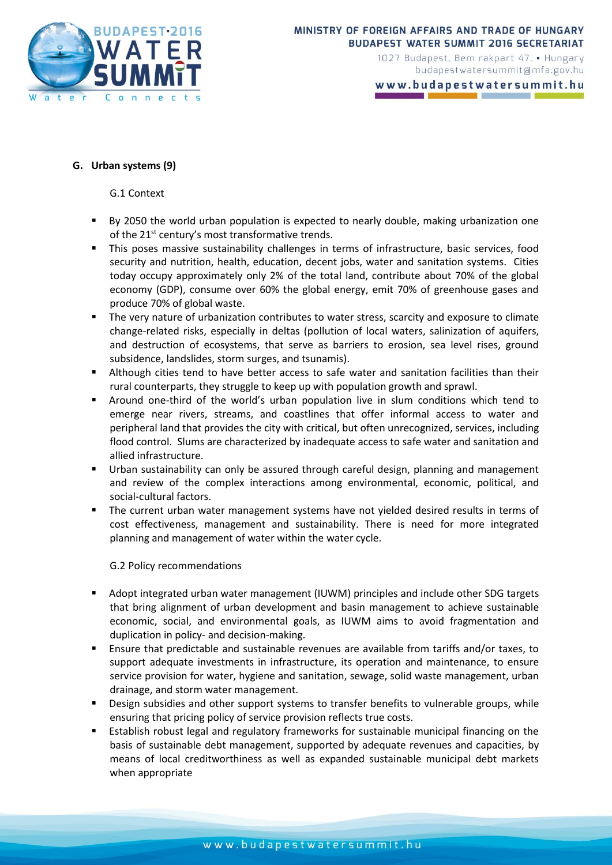

www.budapestwatersummit.hu

### **G. Urban systems (9)**

G.1 Context

- By 2050 the world urban population is expected to nearly double, making urbanization one of the 21<sup>st</sup> century's most transformative trends.
- This poses massive sustainability challenges in terms of infrastructure, basic services, food security and nutrition, health, education, decent jobs, water and sanitation systems. Cities today occupy approximately only 2% of the total land, contribute about 70% of the global economy (GDP), consume over 60% the global energy, emit 70% of greenhouse gases and produce 70% of global waste.
- The very nature of urbanization contributes to water stress, scarcity and exposure to climate change-related risks, especially in deltas (pollution of local waters, salinization of aquifers, and destruction of ecosystems, that serve as barriers to erosion, sea level rises, ground subsidence, landslides, storm surges, and tsunamis).
- Although cities tend to have better access to safe water and sanitation facilities than their rural counterparts, they struggle to keep up with population growth and sprawl.
- Around one-third of the world's urban population live in slum conditions which tend to emerge near rivers, streams, and coastlines that offer informal access to water and peripheral land that provides the city with critical, but often unrecognized, services, including flood control. Slums are characterized by inadequate access to safe water and sanitation and allied infrastructure.
- Urban sustainability can only be assured through careful design, planning and management and review of the complex interactions among environmental, economic, political, and social-cultural factors.
- The current urban water management systems have not yielded desired results in terms of cost effectiveness, management and sustainability. There is need for more integrated planning and management of water within the water cycle.

G.2 Policy recommendations

- Adopt integrated urban water management (IUWM) principles and include other SDG targets that bring alignment of urban development and basin management to achieve sustainable economic, social, and environmental goals, as IUWM aims to avoid fragmentation and duplication in policy- and decision-making.
- Ensure that predictable and sustainable revenues are available from tariffs and/or taxes, to support adequate investments in infrastructure, its operation and maintenance, to ensure service provision for water, hygiene and sanitation, sewage, solid waste management, urban drainage, and storm water management.
- Design subsidies and other support systems to transfer benefits to vulnerable groups, while ensuring that pricing policy of service provision reflects true costs.
- Establish robust legal and regulatory frameworks for sustainable municipal financing on the basis of sustainable debt management, supported by adequate revenues and capacities, by means of local creditworthiness as well as expanded sustainable municipal debt markets when appropriate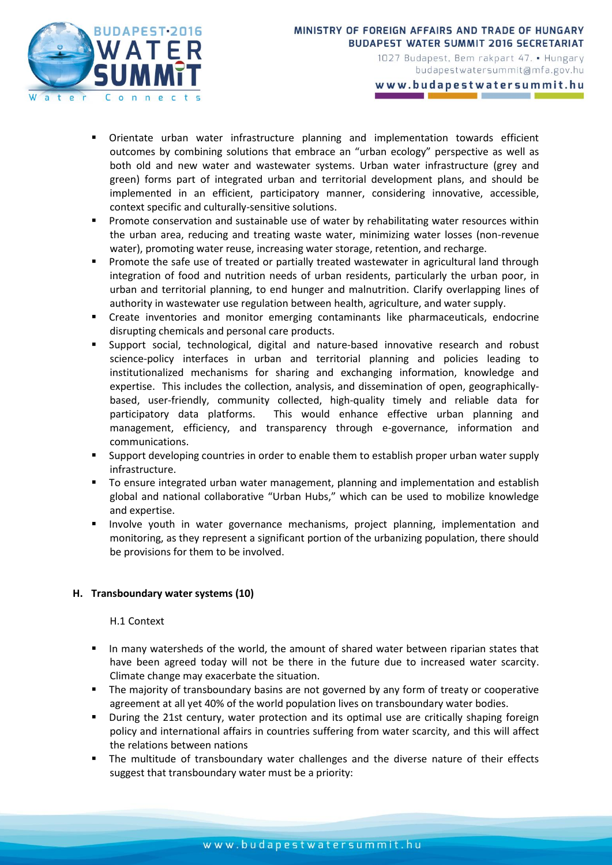

www.budapestwatersummit.hu

- Orientate urban water infrastructure planning and implementation towards efficient outcomes by combining solutions that embrace an "urban ecology" perspective as well as both old and new water and wastewater systems. Urban water infrastructure (grey and green) forms part of integrated urban and territorial development plans, and should be implemented in an efficient, participatory manner, considering innovative, accessible, context specific and culturally-sensitive solutions.
- **Promote conservation and sustainable use of water by rehabilitating water resources within** the urban area, reducing and treating waste water, minimizing water losses (non-revenue water), promoting water reuse, increasing water storage, retention, and recharge.
- Promote the safe use of treated or partially treated wastewater in agricultural land through integration of food and nutrition needs of urban residents, particularly the urban poor, in urban and territorial planning, to end hunger and malnutrition. Clarify overlapping lines of authority in wastewater use regulation between health, agriculture, and water supply.
- Create inventories and monitor emerging contaminants like pharmaceuticals, endocrine disrupting chemicals and personal care products.
- Support social, technological, digital and nature-based innovative research and robust science-policy interfaces in urban and territorial planning and policies leading to institutionalized mechanisms for sharing and exchanging information, knowledge and expertise. This includes the collection, analysis, and dissemination of open, geographicallybased, user-friendly, community collected, high-quality timely and reliable data for participatory data platforms. This would enhance effective urban planning and management, efficiency, and transparency through e-governance, information and communications.
- Support developing countries in order to enable them to establish proper urban water supply infrastructure.
- To ensure integrated urban water management, planning and implementation and establish global and national collaborative "Urban Hubs," which can be used to mobilize knowledge and expertise.
- Involve youth in water governance mechanisms, project planning, implementation and monitoring, as they represent a significant portion of the urbanizing population, there should be provisions for them to be involved.

## **H. Transboundary water systems (10)**

### H.1 Context

- In many watersheds of the world, the amount of shared water between riparian states that have been agreed today will not be there in the future due to increased water scarcity. Climate change may exacerbate the situation.
- **The majority of transboundary basins are not governed by any form of treaty or cooperative** agreement at all yet 40% of the world population lives on transboundary water bodies.
- During the 21st century, water protection and its optimal use are critically shaping foreign policy and international affairs in countries suffering from water scarcity, and this will affect the relations between nations
- The multitude of transboundary water challenges and the diverse nature of their effects suggest that transboundary water must be a priority: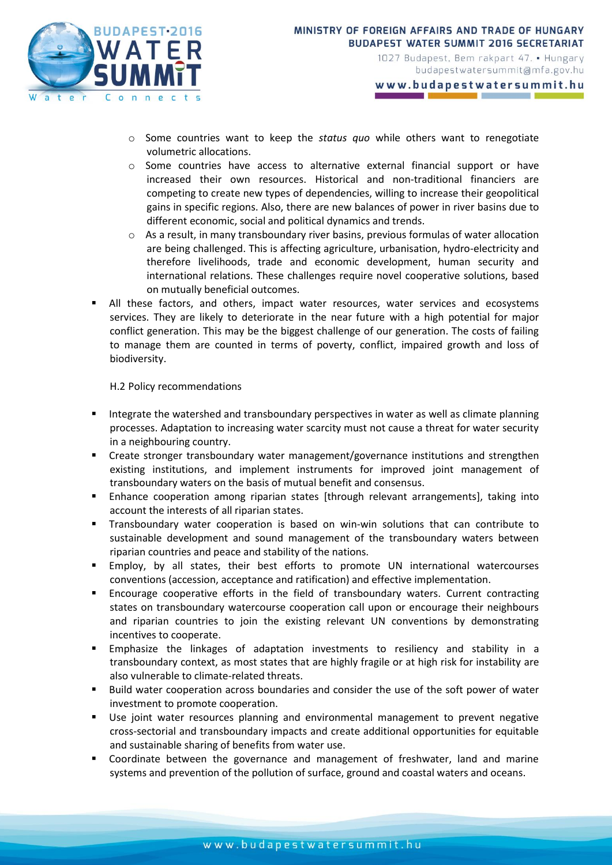

- o Some countries want to keep the *status quo* while others want to renegotiate volumetric allocations.
- o Some countries have access to alternative external financial support or have increased their own resources. Historical and non-traditional financiers are competing to create new types of dependencies, willing to increase their geopolitical gains in specific regions. Also, there are new balances of power in river basins due to different economic, social and political dynamics and trends.
- o As a result, in many transboundary river basins, previous formulas of water allocation are being challenged. This is affecting agriculture, urbanisation, hydro-electricity and therefore livelihoods, trade and economic development, human security and international relations. These challenges require novel cooperative solutions, based on mutually beneficial outcomes.
- All these factors, and others, impact water resources, water services and ecosystems services. They are likely to deteriorate in the near future with a high potential for major conflict generation. This may be the biggest challenge of our generation. The costs of failing to manage them are counted in terms of poverty, conflict, impaired growth and loss of biodiversity.

H.2 Policy recommendations

- Integrate the watershed and transboundary perspectives in water as well as climate planning processes. Adaptation to increasing water scarcity must not cause a threat for water security in a neighbouring country.
- Create stronger transboundary water management/governance institutions and strengthen existing institutions, and implement instruments for improved joint management of transboundary waters on the basis of mutual benefit and consensus.
- Enhance cooperation among riparian states [through relevant arrangements], taking into account the interests of all riparian states.
- Transboundary water cooperation is based on win-win solutions that can contribute to sustainable development and sound management of the transboundary waters between riparian countries and peace and stability of the nations.
- Employ, by all states, their best efforts to promote UN international watercourses conventions (accession, acceptance and ratification) and effective implementation.
- Encourage cooperative efforts in the field of transboundary waters. Current contracting states on transboundary watercourse cooperation call upon or encourage their neighbours and riparian countries to join the existing relevant UN conventions by demonstrating incentives to cooperate.
- Emphasize the linkages of adaptation investments to resiliency and stability in a transboundary context, as most states that are highly fragile or at high risk for instability are also vulnerable to climate-related threats.
- Build water cooperation across boundaries and consider the use of the soft power of water investment to promote cooperation.
- Use joint water resources planning and environmental management to prevent negative cross-sectorial and transboundary impacts and create additional opportunities for equitable and sustainable sharing of benefits from water use.
- Coordinate between the governance and management of freshwater, land and marine systems and prevention of the pollution of surface, ground and coastal waters and oceans.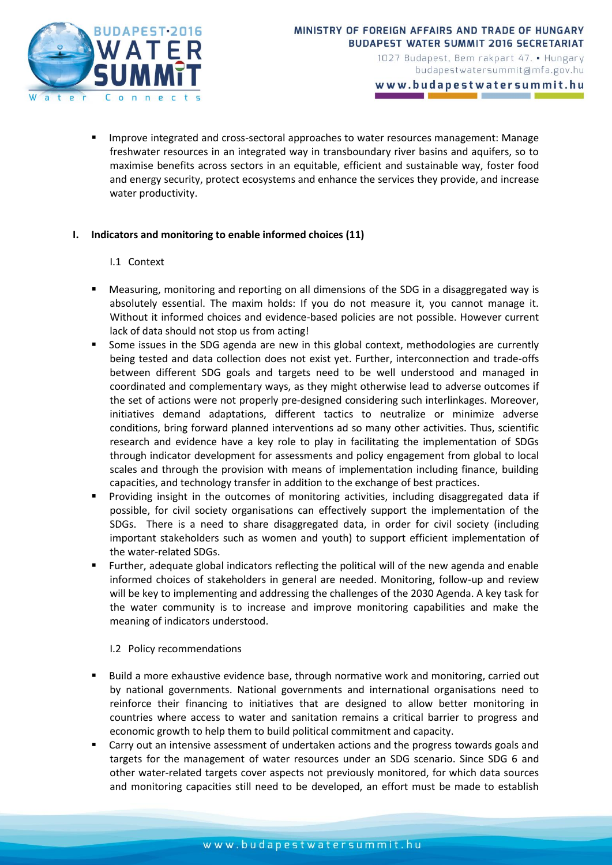

www.budapestwatersummit.hu

 Improve integrated and cross-sectoral approaches to water resources management: Manage freshwater resources in an integrated way in transboundary river basins and aquifers, so to maximise benefits across sectors in an equitable, efficient and sustainable way, foster food and energy security, protect ecosystems and enhance the services they provide, and increase water productivity.

### **I. Indicators and monitoring to enable informed choices (11)**

### I.1 Context

- Measuring, monitoring and reporting on all dimensions of the SDG in a disaggregated way is absolutely essential. The maxim holds: If you do not measure it, you cannot manage it. Without it informed choices and evidence-based policies are not possible. However current lack of data should not stop us from acting!
- Some issues in the SDG agenda are new in this global context, methodologies are currently being tested and data collection does not exist yet. Further, interconnection and trade-offs between different SDG goals and targets need to be well understood and managed in coordinated and complementary ways, as they might otherwise lead to adverse outcomes if the set of actions were not properly pre-designed considering such interlinkages. Moreover, initiatives demand adaptations, different tactics to neutralize or minimize adverse conditions, bring forward planned interventions ad so many other activities. Thus, scientific research and evidence have a key role to play in facilitating the implementation of SDGs through indicator development for assessments and policy engagement from global to local scales and through the provision with means of implementation including finance, building capacities, and technology transfer in addition to the exchange of best practices.
- Providing insight in the outcomes of monitoring activities, including disaggregated data if possible, for civil society organisations can effectively support the implementation of the SDGs. There is a need to share disaggregated data, in order for civil society (including important stakeholders such as women and youth) to support efficient implementation of the water-related SDGs.
- Further, adequate global indicators reflecting the political will of the new agenda and enable informed choices of stakeholders in general are needed. Monitoring, follow-up and review will be key to implementing and addressing the challenges of the 2030 Agenda. A key task for the water community is to increase and improve monitoring capabilities and make the meaning of indicators understood.

### I.2 Policy recommendations

- Build a more exhaustive evidence base, through normative work and monitoring, carried out by national governments. National governments and international organisations need to reinforce their financing to initiatives that are designed to allow better monitoring in countries where access to water and sanitation remains a critical barrier to progress and economic growth to help them to build political commitment and capacity.
- Carry out an intensive assessment of undertaken actions and the progress towards goals and targets for the management of water resources under an SDG scenario. Since SDG 6 and other water-related targets cover aspects not previously monitored, for which data sources and monitoring capacities still need to be developed, an effort must be made to establish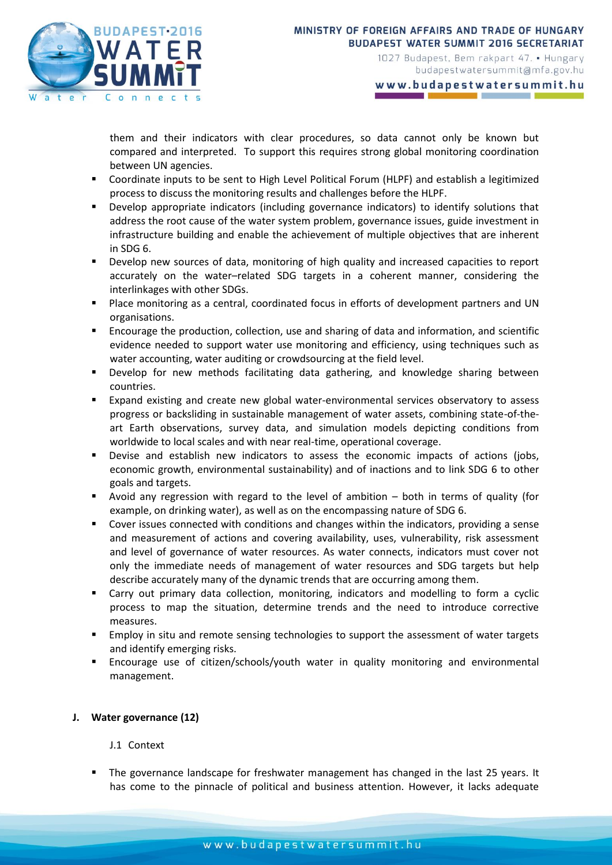

www.budapestwatersummit.hu

them and their indicators with clear procedures, so data cannot only be known but compared and interpreted. To support this requires strong global monitoring coordination between UN agencies.

- Coordinate inputs to be sent to High Level Political Forum (HLPF) and establish a legitimized process to discuss the monitoring results and challenges before the HLPF.
- Develop appropriate indicators (including governance indicators) to identify solutions that address the root cause of the water system problem, governance issues, guide investment in infrastructure building and enable the achievement of multiple objectives that are inherent in SDG 6.
- Develop new sources of data, monitoring of high quality and increased capacities to report accurately on the water–related SDG targets in a coherent manner, considering the interlinkages with other SDGs.
- Place monitoring as a central, coordinated focus in efforts of development partners and UN organisations.
- Encourage the production, collection, use and sharing of data and information, and scientific evidence needed to support water use monitoring and efficiency, using techniques such as water accounting, water auditing or crowdsourcing at the field level.
- Develop for new methods facilitating data gathering, and knowledge sharing between countries.
- Expand existing and create new global water-environmental services observatory to assess progress or backsliding in sustainable management of water assets, combining state-of-theart Earth observations, survey data, and simulation models depicting conditions from worldwide to local scales and with near real-time, operational coverage.
- Devise and establish new indicators to assess the economic impacts of actions (jobs, economic growth, environmental sustainability) and of inactions and to link SDG 6 to other goals and targets.
- Avoid any regression with regard to the level of ambition both in terms of quality (for example, on drinking water), as well as on the encompassing nature of SDG 6.
- Cover issues connected with conditions and changes within the indicators, providing a sense and measurement of actions and covering availability, uses, vulnerability, risk assessment and level of governance of water resources. As water connects, indicators must cover not only the immediate needs of management of water resources and SDG targets but help describe accurately many of the dynamic trends that are occurring among them.
- Carry out primary data collection, monitoring, indicators and modelling to form a cyclic process to map the situation, determine trends and the need to introduce corrective measures.
- Employ in situ and remote sensing technologies to support the assessment of water targets and identify emerging risks.
- Encourage use of citizen/schools/youth water in quality monitoring and environmental management.

## **J. Water governance (12)**

J.1 Context

 The governance landscape for freshwater management has changed in the last 25 years. It has come to the pinnacle of political and business attention. However, it lacks adequate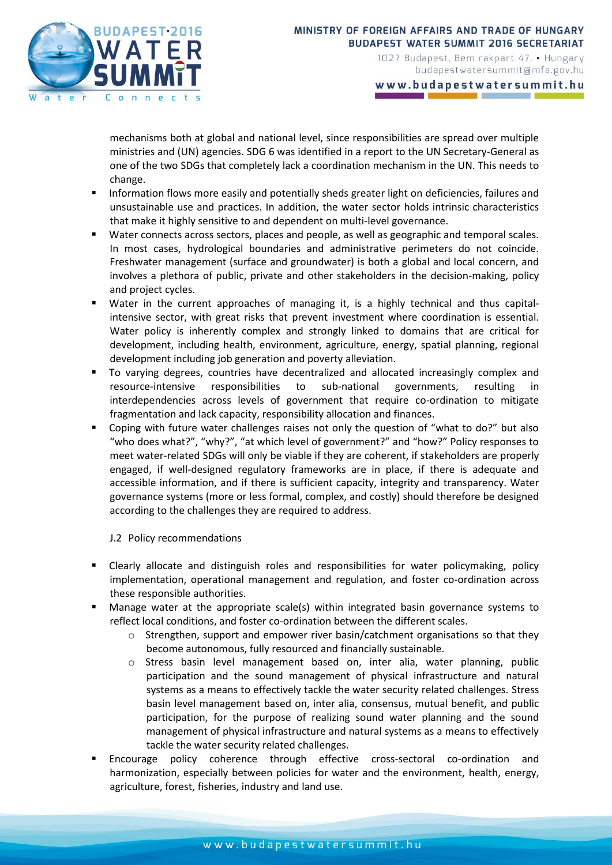

www.budapestwatersummit.hu

mechanisms both at global and national level, since responsibilities are spread over multiple ministries and (UN) agencies. SDG 6 was identified in a report to the UN Secretary-General as one of the two SDGs that completely lack a coordination mechanism in the UN. This needs to change.

- Information flows more easily and potentially sheds greater light on deficiencies, failures and unsustainable use and practices. In addition, the water sector holds intrinsic characteristics that make it highly sensitive to and dependent on multi-level governance.
- Water connects across sectors, places and people, as well as geographic and temporal scales. In most cases, hydrological boundaries and administrative perimeters do not coincide. Freshwater management (surface and groundwater) is both a global and local concern, and involves a plethora of public, private and other stakeholders in the decision-making, policy and project cycles.
- Water in the current approaches of managing it, is a highly technical and thus capitalintensive sector, with great risks that prevent investment where coordination is essential. Water policy is inherently complex and strongly linked to domains that are critical for development, including health, environment, agriculture, energy, spatial planning, regional development including job generation and poverty alleviation.
- To varying degrees, countries have decentralized and allocated increasingly complex and resource-intensive responsibilities to sub-national governments, resulting in interdependencies across levels of government that require co-ordination to mitigate fragmentation and lack capacity, responsibility allocation and finances.
- Coping with future water challenges raises not only the question of "what to do?" but also "who does what?", "why?", "at which level of government?" and "how?" Policy responses to meet water-related SDGs will only be viable if they are coherent, if stakeholders are properly engaged, if well-designed regulatory frameworks are in place, if there is adequate and accessible information, and if there is sufficient capacity, integrity and transparency. Water governance systems (more or less formal, complex, and costly) should therefore be designed according to the challenges they are required to address.

## J.2 Policy recommendations

- Clearly allocate and distinguish roles and responsibilities for water policymaking, policy implementation, operational management and regulation, and foster co-ordination across these responsible authorities.
- Manage water at the appropriate scale(s) within integrated basin governance systems to reflect local conditions, and foster co-ordination between the different scales.
	- $\circ$  Strengthen, support and empower river basin/catchment organisations so that they become autonomous, fully resourced and financially sustainable.
	- o Stress basin level management based on, inter alia, water planning, public participation and the sound management of physical infrastructure and natural systems as a means to effectively tackle the water security related challenges. Stress basin level management based on, inter alia, consensus, mutual benefit, and public participation, for the purpose of realizing sound water planning and the sound management of physical infrastructure and natural systems as a means to effectively tackle the water security related challenges.
- Encourage policy coherence through effective cross-sectoral co-ordination and harmonization, especially between policies for water and the environment, health, energy, agriculture, forest, fisheries, industry and land use.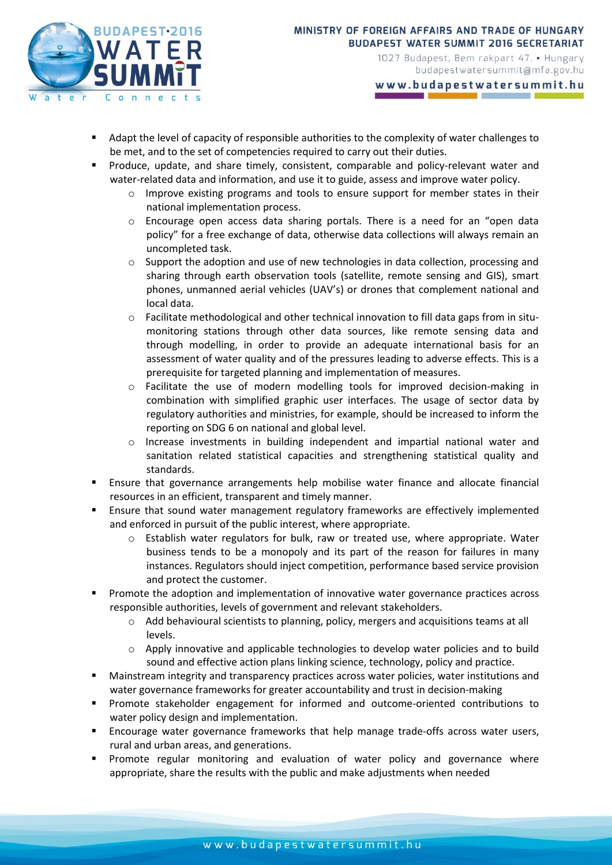

www.budapestwatersummit.hu

- Adapt the level of capacity of responsible authorities to the complexity of water challenges to be met, and to the set of competencies required to carry out their duties.
- Produce, update, and share timely, consistent, comparable and policy-relevant water and water-related data and information, and use it to guide, assess and improve water policy.
	- $\circ$  Improve existing programs and tools to ensure support for member states in their national implementation process.
	- Encourage open access data sharing portals. There is a need for an "open data policy" for a free exchange of data, otherwise data collections will always remain an uncompleted task.
	- $\circ$  Support the adoption and use of new technologies in data collection, processing and sharing through earth observation tools (satellite, remote sensing and GIS), smart phones, unmanned aerial vehicles (UAV's) or drones that complement national and local data.
	- $\circ$  Facilitate methodological and other technical innovation to fill data gaps from in situmonitoring stations through other data sources, like remote sensing data and through modelling, in order to provide an adequate international basis for an assessment of water quality and of the pressures leading to adverse effects. This is a prerequisite for targeted planning and implementation of measures.
	- o Facilitate the use of modern modelling tools for improved decision-making in combination with simplified graphic user interfaces. The usage of sector data by regulatory authorities and ministries, for example, should be increased to inform the reporting on SDG 6 on national and global level.
	- o Increase investments in building independent and impartial national water and sanitation related statistical capacities and strengthening statistical quality and standards.
- Ensure that governance arrangements help mobilise water finance and allocate financial resources in an efficient, transparent and timely manner.
- Ensure that sound water management regulatory frameworks are effectively implemented and enforced in pursuit of the public interest, where appropriate.
	- o Establish water regulators for bulk, raw or treated use, where appropriate. Water business tends to be a monopoly and its part of the reason for failures in many instances. Regulators should inject competition, performance based service provision and protect the customer.
- Promote the adoption and implementation of innovative water governance practices across responsible authorities, levels of government and relevant stakeholders.
	- o Add behavioural scientists to planning, policy, mergers and acquisitions teams at all levels.
	- $\circ$  Apply innovative and applicable technologies to develop water policies and to build sound and effective action plans linking science, technology, policy and practice.
- Mainstream integrity and transparency practices across water policies, water institutions and water governance frameworks for greater accountability and trust in decision-making
- Promote stakeholder engagement for informed and outcome-oriented contributions to water policy design and implementation.
- Encourage water governance frameworks that help manage trade-offs across water users, rural and urban areas, and generations.
- Promote regular monitoring and evaluation of water policy and governance where appropriate, share the results with the public and make adjustments when needed